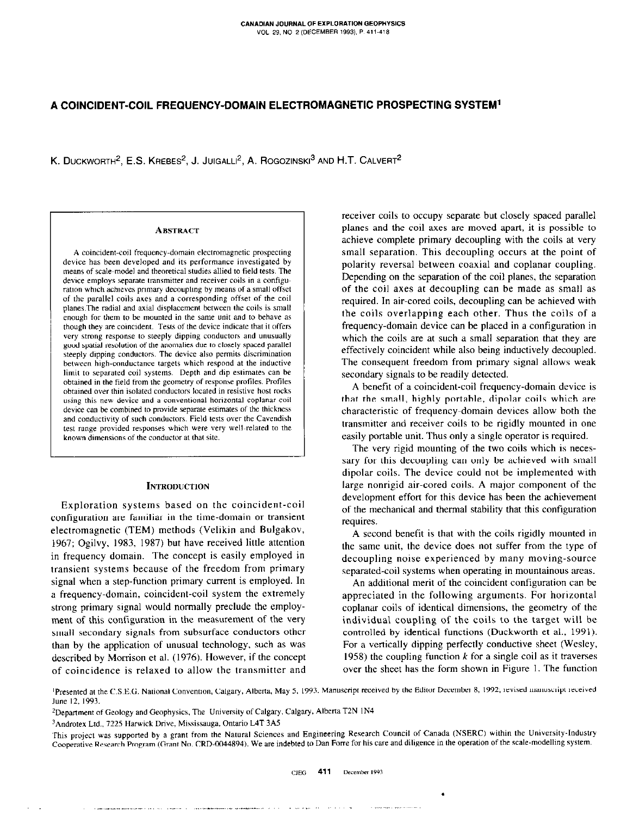# A COINCIDENT-COIL FREQUENCY-DOMAIN ELECTROMAGNETIC PROSPECTING SYSTEM'

K. DUCKWORTH<sup>2</sup>, E.S. KREBES<sup>2</sup>, J. JUIGALLI<sup>2</sup>, A. ROGOZINSKI<sup>3</sup> AND H.T. CALVERT<sup>2</sup>

#### **ABSTRACT**

A coincident-coil frequency~domain electromagnetic prospecting device has been developed and its performance investigated by means of scale~model and theoretical studies allied to field tests. The device employs separate transmitter and receiver coils in a configuration which achieves primary decoupling by means of a small offset of the parallel coils axes and a corresponding offset of the coil ptanes.The radial and axial displacement between the coils is Small enough for them to be mounted in the same unit and to behave as though they are coincident. Tests of the device indicate that it offers very strong response to steeply dipping conductors and unusually good spatial resolution of the anomalies due to closely spaced parallel steeply dipping conductors. The device also permits discrimination between high-conductance targets which respond at the inductive limit to separated coil systems. Depth and dip estimates can be obtained in the field from the geometry of response protiles. Profiles obtained over thin isolated conductors located in resistive host rocks using this new device and a conventional horizontal coplanar coil device can be combined to provide separate estimates of the thickness and conductivity of such conductors. Field tests over the Cavendish test range provided responses which were very well-related to the known dimensions of the conductor at that site.

## **INTRODUCTION**

Exploration systems based on the coincident-coil configuration are familiar in the time-domain or transient electromagnetic (TEM) methods (Velikin and Bulgakov, 1967; Ogilvy, 1983, 1987) but have received little attention in frequency domain. The concept is easily employed in transient systems because of the freedom from primary signal when a step-function primary current is employed. In a frequency-domain, coincident-coil system the extremely strong primary signal would normally preclude the employment of this configuration in the measurement of the very small secondary signals from subsurface conductors other than by the application of unusual technology, such as was described by Morrison et al. (1976). However, if the concept of coincidence is relaxed to allow the transmitter and receiver coils to occupy separate but closely spaced parallel planes and the coil axes are moved apart, it is possible to achieve complete primary decoupling with the coils at very small separation. This decoupling occurs at the point of polarity reversal between coaxial and coplanar coupling. Depending on the separation of the coil planes, the separation of the coil axes at decoupling can be made as small as required. In air-cored coils, decoupling can be achieved with the coils overlapping each other. Thus the coils of a frequency-domain device can be placed in a configuration in which the coils are at such a small separation that they are effectively coincident while also being inductively decoupled. The consequent freedom from primary signal allows weak secondary signals to be readily detected.

A benefit of a coincident-coil frequency-domain device is that the small, highly portable, dipolar coils which are characteristic of frequency-domain devices allow both the transmitter and receiver coils to be rigidly mounted in one easily portable unit. Thus only a single operator is required.

The very rigid mounting of the two coils which is necessary for this decoupling can only be achieved with small dipolar coils. The device could not be implemented with large nonrigid air-cored coils. A major component of the development effort for this device has been the achievement of the mechanical and thermal stability that this configuration requires.

A second benefit is that with the coils rigidly mounted in the same unit, the device does not suffer from the type of decoupling noise experienced by many moving-source separated-coil systems when operating in mountainous areas.

An additional merit of the coincident configuration can be appreciated in the following arguments. For horizontal coplanar coils of identical dimensions, the geometry of the individual coupling of the coils to the target will be controlled by identical functions (Duckworth et al., 1991). For a vertically dipping perfectly conductive sheet (Wesley, 1958) the coupling function  $k$  for a single coil as it traverses over the sheet has the form shown in Figure I. The function

.

Presented at the C.S.E.G. National Convention, Calgary, Alberta, May 5, 1993. Manuscript received by the Editor December 8, 1992; revised manuscript received June 12, 1993.

<sup>2</sup>Department of Geology and Geophysics. The University of Calgary, Calgary, Alberta T2N IN4

<sup>3</sup>Androtex Ltd., 7225 Harwick Drive, Mississauga, Ontario L4T 3A5

This project was supported by a grant from the Natural Sciences and Engineering Research Council of Canada (NSERC) within the University-Industry Cooperative Research Program (Grant No. CRD-0044894). We are indebted to Dan Forre for his care and diligence in the operation of the scale-modelling system.

,~,, ,,,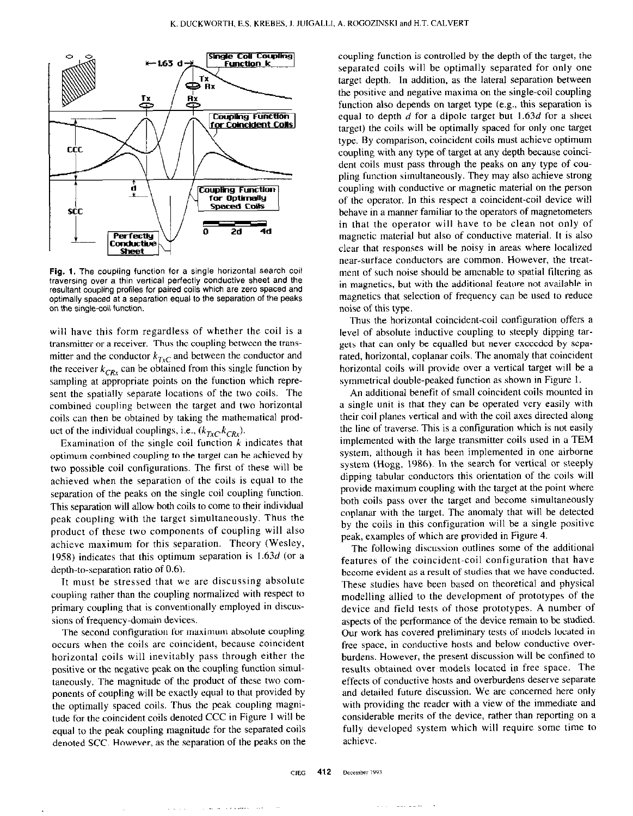

Fig. 1. The coupling function for a single horizontal search coil traversing over a thin vertical perfectly conductive sheet and the resultant coupling profiles for paired coils which are zero spaced and optimally spaced at a separation equal to the separation of the peaks on the single-coil function.

will have this form regardless of whether the coil is a transmitter or a receiver. Thus the coupling between the transmitter and the conductor  $k_{TxC}$  and between the conductor and the receiver  $k_{CRx}$  can be obtained from this single function by sampling at appropriate points on the function which represent the spatially separate locations of the two coils. The combined coupling between the target and two horizontal coils can then be obtained by taking the mathematical product of the individual couplings, i.e.,  $(k_{TxC}k_{CRx})$ .

Examination of the single coil function  $k$  indicates that optimum combined coupling to the target can be achieved by two possible coil configurations. The first of these will be achieved when the separation of the coils is equal to the separation of the peaks on the single coil coupling function. This separation will allow both coils to come to their individual peak coupling with the target simultaneously. Thus the product of these two components of coupling will also achieve maximum for this separation. Theory (Wesley, 1958) indicates that this optimum separation is I .63d (or a depth-to-separation ratio of 0.6).

It must be stressed that we are discussing absolute coupling rather than the coupling notmalired with respect to primary coupling that is conventionally employed in discussions of frequency-domain devices.

The second configuration for maximum absolute coupling occurs when the coils are coincident, because coincident horizontal coils will inevitably pass through either the positive or the negative peak on the coupling function simultaneously. The magnitude of the product of these two components of coupling will be exactly equal to that provided by the optimally spaced coils. Thus the peak coupling magnitude for the coincident coils denoted CCC in Figure I will be equal to the peak coupling magnitude for the separated coils denoted SCC. However, as the separation of the peaks on the coupling function is controlled by the depth of the target, the separated coils will be optimally separated for only one target depth. In addition, as the lateral separation between the positive and negative maxima on the single-coil coupling function also depends on target type (e.g., this separation is equal to depth  $d$  for a dipole target but 1.63 $d$  for a sheet target) the coils will be optimally spaced for only one target type. By comparison, coincident coils must achieve optimum coupling with any type of target at any depth because coincident coils must pass through the peaks on any type of coupling function simultaneously. They may also achieve strong coupling with conductive or magnetic material on the person of the operator. In this respect a coincident-coil device will behave in a manner familiar to the operators of magnetometers in that the operator will have to be clean not only of magnetic material but also of conductive material. It is also clear that responses will be noisy in areas where localized near-surface conductors are common. However, the treatment of such noise should be amenable to spatial filtering as in magnetics, but with the additional feature not available in magnetics that selection of frequency can be used to reduce noise of this type.

Thus the horizontal coincident-coil configuration offers a level of absolute inductive coupling to steeply dipping targets that can only be equalled but never exceeded by separated, horizontal, coplanar coils. The anomaly that coincident horizontal coils will provide over a vertical target will be a symmetrical double-peaked function as shown in Figure 1.

An additional benefit of small coincident coils mounted in a single unit is that they can be operated very easily with their coil planes vertical and with the coil axes directed along the line of traverse. This is a configuration which is not easily implemented with the large transmitter coils used in a TEM system, although it has been implemented in one airborne system (Hogg, 1986). In the search for vertical or steeply dipping tabular conductors this orientation of the coils will provide maximum coupling with the target at the point where both coils pass over the target and become simultaneously coplanar with the target. The anomaly that will be detected by the coils in this configuration will be a single positive peak, examples of which are provided in Figure 4.

The following discussion outlines some of the additional features of the coincident-coil configuration that have become evident as a result of studies that we have conducted. These studies have been based on theoretical and physical modelling allied to the development of prototypes of the device and field tests of those prototypes. A number of aspects of the performance of the device remain to be studied. Our work has covered preliminary tests of models located in free space, in conductive hosts and below conductive overburdens. However. the present discussion will be confined to results obtained over models located in free space. The effects of conductive hosts and overburdens deserve separate and detailed future discussion. We are concerned here only with providing the reader with a view of the immediate and considerable merits of the device, rather than reporting on a fully developed system which will require some time to achieve.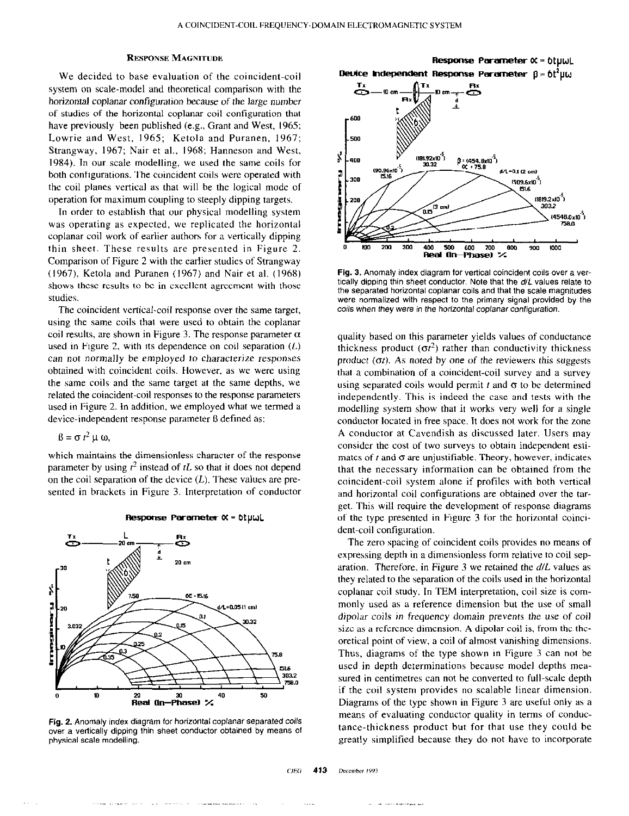## **RESPONSE MAGNITUDE**

We decided to base evaluation of the coincident-coil system on scale-model and theoretical comparison with the horizontal coplanar configuration because of the large number of studies of the horizontal coplanar coil configuration that have previously been published (e.g., Grant and West, 1965; Lowrie and West, 1965; Ketola and Puranen, 1967; Strangway, 1967; Nair et al.. 1968: Hanneson and West, 1984). In our scale modelling, we used the same coils for both configurations. The coincident coils were operated with the coil planes vertical as that will be the logical mode of operation for maximum coupling to steeply dipping targets.

In order to establish that our physical modelling system was operating as expected, we replicated the horizontal coplanar coil work of earlier authors for a vertically dipping thin sheet. These results are presented in Figure 2. Comparison of Figure 2 with the earlier studies of Strangway (1967), Ketola and Puranen (1967) and Nair et al. (1968) shows these results to be in excellent agreement with those studies.

The coincident vertical-coil response over the same target, using the same coils that were used to obtain the coplanar coil results, are shown in Figure 3. The response parameter  $\alpha$ used in Figure 2, with its dependence on coil separation  $(L)$ can not normally be employed to characterize responses obtained with coincident coils. However, as we were using the same coils and the same target at the same depths, we related the coincident-coil responses to the response parameters used in Figure 2. In addition, we employed whet we termed a device-independent response parameter ß defined as:

 $\beta = \sigma t^2 \mu \omega$ ,

which maintains the dimensionless character of the response parameter by using  $t^2$  instead of tL so that it does not depend on the coil separation of the device  $(L)$ . These values are presented in brackets in Figure 3. Interpretation of conductor



#### $Response$  Parameter  $\alpha$  =  $6t$ uwL

Fig. 2. Anomaly index diagram for horizontal coplanar separated coils over a vertically dipping thin sheet conductor obtained by means of physical scale modelling.

and the same security and

 $\sim$  2000  $\sim$  2000  $\sim$  2000  $\sim$  2000  $\sim$  2000  $\sim$ 



Fig. 3. Anomaly index diagram for vertical coincident coils over a vertically dipping thin sheet conductor. Note that the  $d/L$  values relate to the separated horizontal coplanar coils and that the scale magnitudes were normalized with respect to the primary signal provided by the coils when they were in the horizontal coplanar configuration.

quality based on this parameter yields values of conductance thickness product ( $\sigma t^2$ ) rather than conductivity thickness product  $(\sigma t)$ . As noted by one of the reviewers this suggests that a combination of a coincident-coil survey and a survey using separated coils would permit  $t$  and  $\sigma$  to be determined independently. This is indeed the case and tests with the modelling system show that it works very well for a single conductor located in free space. It does not work for the zone A conductor at Cavendish as discussed later. Users may consider the cost of two surveys to obtain independent estimates of  $t$  and  $\sigma$  are unjustifiable. Theory, however, indicates that the necessary information can be obtained from the coincident-coil system alone if profiles with both vertical and horizontal coil configurations are obtained over the target. This will require the development of response diagrams of the type presented in Figure 3 for the horizontal coincident-coil configuration.

The zero spacing of coincident coils provides no means of expressing depth in a dimensionless form relative to coil separation. Therefore, in Figure 3 we retained the  $d/L$  values as they related to the separation of the coils used in the horizontal coplanar coil study. In TEM interpretation, coil size is commonly used as a reference dimension but the use of small dipolar coils in frequency domain prevents the use of coil size as a reference dimension. A dipolar coil is, from the theoretical point of view, a coil of almost vanishing dimensions. Thus, diagrams of the type shown in Figure 3 can not be used in depth determinations because model depths measured in centimetres can not be converted to full-scale depth if the coil system provides no scalable linear dimension. Diagrams of the type shown in Figure 3 are useful only as a means of evaluating conductor quality in terms of conductance-thickness product but for that use they could be greatly simplified because they do not have to incorporate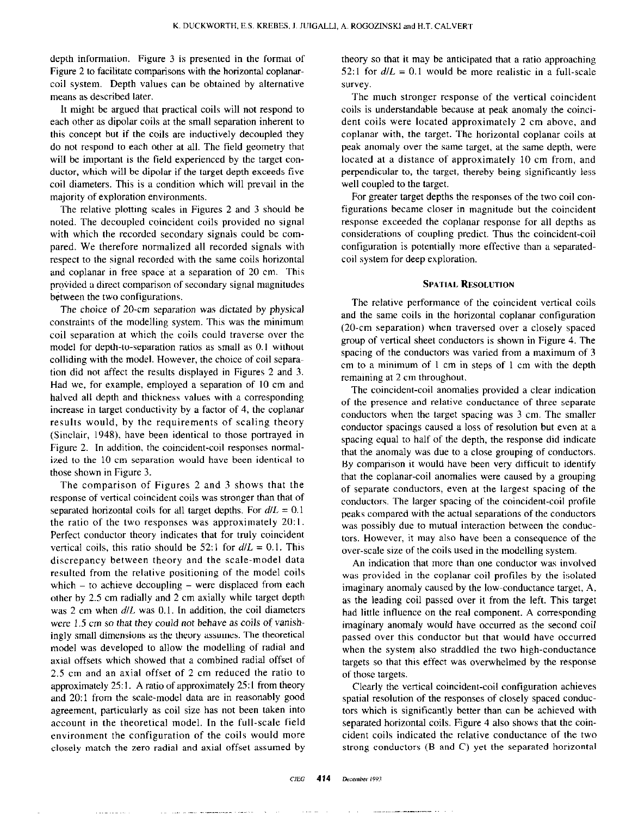depth information. Figure 3 is presented in the format of Figure 2 to facilitate comparisons with the horizontal coplanarcoil system. Depth values can be obtained by alternative means as described later.

It might be argued that practical coils will not respond to each other as dipolar coils at the small separation inherent to this concept but if the coils are inductively decoupled they do not respond to each other at all. The field geometry that will be important is the field experienced by the target conductor, which will be dipolar if the target depth exceeds five coil diameters. This is a condition which will prevail in the majority of exploration environments.

The relative plotting scales in Figures 2 and 3 should be noted. The decoupled coincident coils provided no signal with which the recorded secondary signals could be compared. We therefore normalized all recorded signals with respect to the signal recorded with the same coils horizontal and coplanar in free space at a separation of 20 cm. This provided a direct comparison of secondary signal magnitudes between the two configurations.

The choice of 20-cm separation was dictated by physical constraints of the modelling system. This was the minimum coil separation at which the coils could traverse over the model for depth-to-separation ratios as small as 0. I without colliding with the model. However, the choice of coil separa~ tion did not affect the results displayed in Figures 2 and 3. Had we, for example, employed a separation of IO cm and halved all depth and thickness values with a corresponding increase in target conductivity by a factor of 4, the coplanar results would, by the requirements of scaling theory (Sinclair, 1948). have been identical to those portrayed in Figure 2. In addition, the coincident-coil responses normalized to the 10-cm separation would have been identical to those shown in Figure 3.

The comparison of Figures 2 and 3 shows that the response of vertical coincident coils was stronger than that of separated horizontal coils for all target depths. For  $d/L = 0.1$ the ratio of the two responses was approximately  $20:1$ . Perfect conductor theory indicates that for truly coincident vertical coils, this ratio should be 52:1 for  $d/L = 0.1$ . This discrepancy between theory and the scale-model data resulted from the relative positioning of the model coils which  $-$  to achieve decoupling  $-$  were displaced from each other by 2.5 cm radially and 2 cm axially while target depth was 2 cm when  $d/L$  was 0.1. In addition, the coil diameters were 1.5 cm so that they could not behave as coils of vanishingly small dimensions as the theory assumes. The theoretical model was developed to allow the modelling of radial and axial offsets which showed that a combined radial offset of 2.5 cm and an axial offset of 2 cm reduced the ratio to approximately 25:1. A ratio of approximately 25:1 from theory and 20:1 from the scale-model data are in reasonably good agreement, particularly as coil size has not been taken into account in the theoretical model. In the full-scale field environment the configuration of the coils would more closely match the zero radial and axial offset assumed by

theory so that it may be anticipated that a ratio approaching 52:1 for  $d/L = 0.1$  would be more realistic in a full-scale survey.

The much stronger response of the vertical coincident coils is understandable because at peak anomaly the coincident coils were located approximately 2 cm above, and coplanar with, the target. The horizontal coplanar coils at peak anomaly over the same target, at the same depth, were located at a distance of approximately IO cm from, and perpendicular to, the target, thereby being significantly less well coupled to the target.

For greater target depths the responses of the two coil configurations became closer in magnitude but the coincident response exceeded the coplanar response for all depths as considerations of coupling predict. Thus the coincident-coil configuration is potentially more effective than a separatedcoil system for deep exploration.

# SPATIAL RESOLUTION

The relative performance of the coincident vertical coils and the same coils in the horizontal coplanar configuration  $(20$ -cm separation) when traversed over a closely spaced group of vertical sheet conductors is shown in Figure 4. The spacing of the conductors was varied from a maximum of 3 cm to a minimum of 1 cm in steps of I cm with the depth remaining at 2 cm throughout.

The coincident-coil anomalies provided a clear indication of the presence and relative conductance of three separate conductors when the target spacing was 3 cm. The smaller conductor spacings caused a loss of resolution but even at a spacing equal to half of the depth, the response did indicate that the anomaly was due to a close grouping of conductors. By comparison it would have been very difficult to identify that the coplanar-coil anomalies were caused by a grouping of separate conductors, even at the largest spacing of the conductors. The larger spacing of the coincident-coil profile peaks compared with the actual separations of the conductors was possibly due to mutual interaction between the conductors. However, it may also have been a consequence of the over-scale size of the coils used in the modelling system.

An indication that more than one conductor was involved was provided in the coplanar-coil profiles by the isolated imaginary anomaly caused by the low-conductance target, A, as the leading coil passed over it from the left. This target had little influence on the real component. A corresponding imaginary anomaly would have occurred as the second coil passed over this conductor but that would have occurred when the system also straddled the two high-conductance targets so that this effect was overwhelmed by the response of those targets.

Clearly the vertical coincident-coil configuration achieves spatial resolution of the responses of closely spaced conductors which is significantly better than can be achieved with separated horizontal coils. Figure 4 also shows that the coincident coils indicated the relative conductance of the two strong conductors (B and C) yet the separated horizontal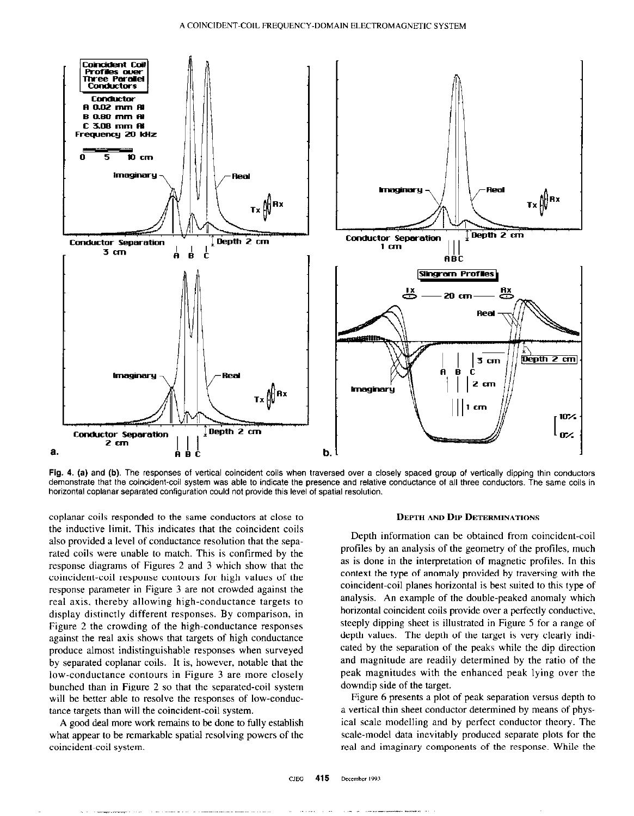

Fig. 4. (a) and (b). The responses of vertical coincident coils when traversed over a closely spaced group of vertically dipping thin conductors demonstrate that the coincident-coil system was able to indicate the presence and relative conductance of all three conductors. The same coils in horizontal coplanar separated configuration could not provide this level of spatial resolution.

coplanar coils responded to the same conductors at close to **DEPTH AND DIP DETERMINATIONS** the inductive limit. This indicates that the coincident coils also provided a level of conductance resolution that the separated coils were unable to match. This is confirmed by the response diagrams of Figures 2 and 3 which show that the coincident-coil response contours for high values of the response parameter in Figure 3 are not crowded against the real axis. thereby allowing high-conductance targets to display distinctly different responses. By comparison, in Figure 2 the crowding of the high-conductance responses against the real axis shows that targets of high conductance produce almost indistinguishable responses when surveyed by separated coplanar coils. It is, however, notable that the low-conductance contours in Figure 3 are more closely bunched than in Figure 2 so that the separated-coil system will be better able to resolve the responses of low-conductance targets than will the coincident-coil system.

A good deal more work remains to be done to fully establish what appear to be remarkable spatial resolving powers of the coincident-coil system.

Depth information can be obtained from coincident-coil profiles by an analysis of the geometry of the profiles, much as is done in the interpretation of magnetic profiles. In this context the type of anomaly provided by traversing with the coincident-coil planes horizontal is best suited to this type of analysis. An example of the double-peaked anomaly which horizontal coincident coils provide over a perfectly conductive, steeply dipping sheet is illustrated in Figure 5 for a range of depth values. The depth of the target is very clearly indicated by the separation of the peaks while the dip direction and magnitude are readily determined by the ratio of the peak magnitudes with the enhanced peak lying over the downdip side of the target.

Figure 6 presents a plot of peak separation versus depth to a vertical thin sheet conductor determined by means of physical scale modelling and by perfect conductor theory. The scale-model data inevitably produced separate plots for the real and imaginary components of the response. While the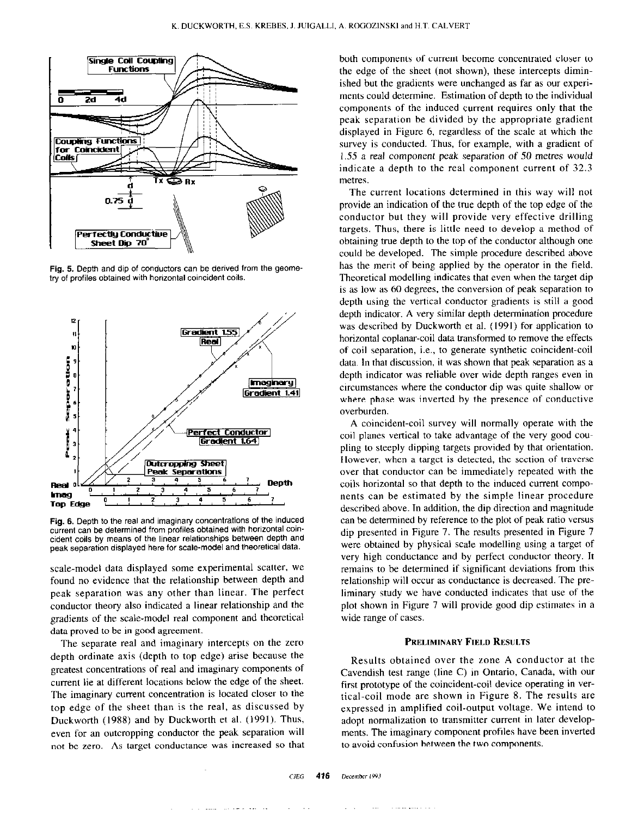

Fig. 5. Depth and dip of conductors can be derived from the geometry of profiles obtained with horizontal coincident coils.



Fig. 6. Depth to the real and imaginary concentrations of the induced current can be determined from profiles obtained with horizontal coincident coils by means of the linear relationships between depth and peak separation displayed here for scale-model and theoretical data.

scale-model data displayed some experimental scatter, we found no evidence that the relationship between depth and peak separation was any other than linear. The perfect conductor theory also indicated a linear relationship and the gradients of the scale-model real component and theoretical data proved to be in good agreement.

The separate real and imaginary intercepts on the zero depth ordinate axis (depth to top edge) arise because the greatest concentrations of real and imaginary components of current lie at different locations below the edge of the sheet. The imaginary current concentration is located closer to the top edge of the sheet than is the real, as discussed by Duckworth (1988) and by Duckworth et al. (1991). Thus, even for an outcropping conductor the peak separation will not be zero. As target conductance was increased so that both components of current become concentrated closer to the edge of the sheet (not shown), these intercepts diminished but the gradients were unchanged as far as our experiments could determine. Estimation of depth to the individual components of the induced current requires only that the peak separation be divided by the appropriate gradient displayed in Figure 6, regardless of the scale at which the survey is conducted. Thus, for example, with a gradient of 1.55 a real component peak separation of 50 metres would indicate a depth to the real component current of 32.3 metres.

The current locations determined in this way will not provide an indication of the true depth of the top edge of the conductor but they will provide very effective drilling targets. Thus, there is little need to develop a method of obtaining true depth to the top of the conductor although one could be developed. The simple procedure described above has the merit of being applied by the operator in the field. Theoretical modelling indicates that even when the target dip is as low as 60 degrees, the conversion of peak separation to depth using the vertical conductor gradients is still a good depth indicator. A very similar depth determination procedure was described by Duckworth et al. (1991) for application to horizontal coplanar-coil data transformed to remove the effects of coil separation, i.e., to generate synthetic coincident-coil data. In that discussion, it was shown that peak separation as a depth indicator was reliable over wide depth ranges even in circumstances where the conductor dip was quite shallow or where phase was inverted by the presence of conductive overburden.

A coincident-coil survey will normally operate with the coil planes vertical to take advantage of the very good coupling to steeply dipping targets provided by that orientation. However, when a target is detected, the section of traverse over that conductor can be immediately repeated with the coils horizontal so that depth to the induced current components can be estimated by the simple linear procedure described above. In addition, the dip direction and magnitude can be determined by reference to the plot of peak ratio versus dip presented in Figure 7. The results presented in Figure I were obtained by physical scale modelling using a target of very high conductance and by perfect conductor theory. It remains to be determined if significant deviations from this relationship will occur as conductance is decreased. The preliminary study we have conducted indicates that use of the plot shown in Figure 7 will provide good dip estimates in a wide range of cases.

## PRELIMINARY FIELD RESULTS

Results obtained over the zone A conductor at the Cavendish test range (line C) in Ontario, Canada, with our first prototype of the coincident-coil device operating in vertical-coil mode are shown in Figure 8. The results are expressed in amplified coil-output voltage. We intend to adopt normalization to transmitter current in later developments. The imaginary component profiles have been inverted to avoid confusion between the two components.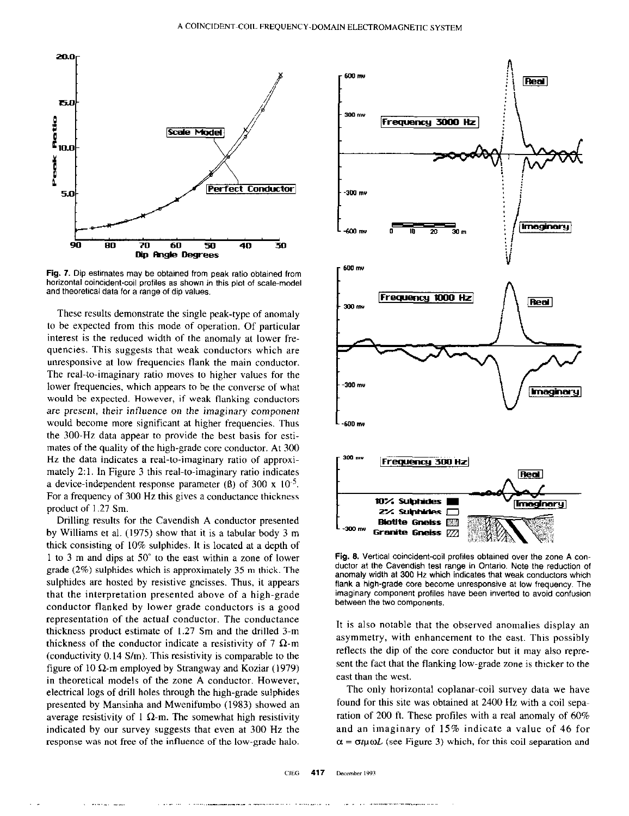

Fig. 7. Dip estimates may be obtained from peak ratio obtained from horizontal coincident-coil profiles as shown in this plot of scale-model and theoretical data for a range of dip values.

These results demonstrate the single peak-type of anomaly to be expected from this mode of operation. Of particular interest is the reduced width of the anomaly at lower frequencies. This suggests that weak conductors which are unresponsive at low frequencies flank the main conductor. The real-to-imaginary ratio moves to higher values for the lower frequencies, which appears to be the converse of what would be expected. However, if weak flanking conductors are present, their influence on the imaginary component would become more significant at higher frequencies. Thus the 300.Hz data appear to provide the best basis for estimates of the quality of the high-grade core conductor. At 300 Hz the data indicates a real-to-imaginary ratio of approximately 2:l. In Figure 3 this real-to-imaginary ratio indicates a device-independent response parameter ( $\beta$ ) of 300 x 10<sup>-5</sup>. For a frequency of 300 Hz this gives a conductance thickness product of I .27 Sm.

Drilling results for the Cavendish A conductor presented by Williams et al. (1975) show that it is a tabular body 3 m thick consisting of 10% sulphides. It is located at a depth of 1 to 3 m and dips at 50° to the east within a zone of lower grade (2%) sulphides which is approximately 35 m thick. The sulphides are hosted by resistive gneisses. Thus, it appears that the interpretation presented above of a high-grade conductor flanked by lower grade conductors is a good representation of the actual conductor. The conductance thickness product estimate of 1.27 Sm and the drilled 3-m thickness of the conductor indicate a resistivity of 7  $\Omega$ -m (conductivity 0.14 S/m). This resistivity is comparable to the figure of 10  $\Omega$ -m employed by Strangway and Koziar (1979) in theoretical models of the zone A conductor. However, electrical logs of drill holes through the high-grade sulphides presented by Mansinha and Mwenifumbo (1983) showed an average resistivity of 1  $\Omega$ -m. The somewhat high resistivity indicated by our survey suggests that even at 300 Hz the response was not free of the influence of the low-grade halo.



Fig. 8. Vertical coincident-coil profiles obtained over the zone A conductor at the Cavendish test range in Ontario. Note the reduction of anomaly width at 300 Hz which indicates that weak conductors which flank a high-grade core become unresponsive at tow frequency. The imaginary component profiles have been inverted to avoid confusion between the two components.

It is also notable that the observed anomalies display an asymmetry, with enhancement to the east. This possibly reflects the dip of the core conductor but it may also represent the fact that the flanking low-grade zone is thicker to the east than the west.

The only horizontal coplanar-coil survey data we have found for this site was obtained at 2400 Hz with a coil separation of 200 ft. These profiles with a real anomaly of 60% and an imaginary of 15% indicate a value of 46 for  $\alpha = \sigma \mu \omega L$  (see Figure 3) which, for this coil separation and

 $CIEG$  417 December 1993